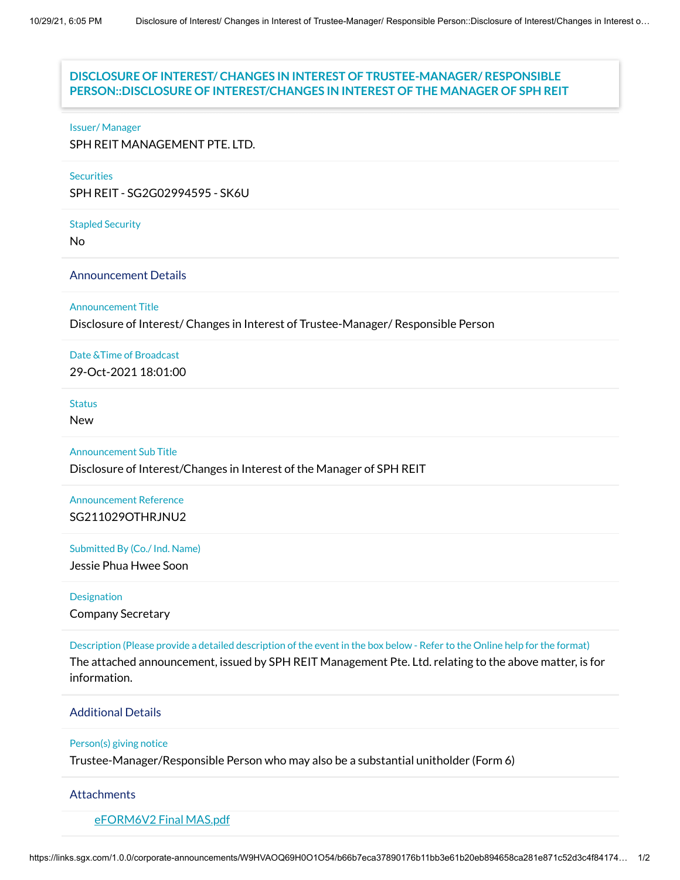# Issuer & Securities **PERSON::DISCLOSURE OF INTEREST/CHANGES IN INTEREST OF THE MANAGER OF SPH REIT DISCLOSURE OF INTEREST/ CHANGES IN INTEREST OF TRUSTEE-MANAGER/ RESPONSIBLE**

#### Issuer/ Manager

SPH REIT MANAGEMENT PTE. LTD.

#### **Securities**

SPH REIT - SG2G02994595 - SK6U

Stapled Security

No

## Announcement Details

Announcement Title

Disclosure of Interest/ Changes in Interest of Trustee-Manager/ Responsible Person

Date &Time of Broadcast 29-Oct-2021 18:01:00

#### **Status**

New

Announcement Sub Title

Disclosure of Interest/Changes in Interest of the Manager of SPH REIT

Announcement Reference SG211029OTHRJNU2

Submitted By (Co./ Ind. Name)

Jessie Phua Hwee Soon

Designation Company Secretary

Description (Please provide a detailed description of the event in the box below - Refer to the Online help for the format) The attached announcement, issued by SPH REIT Management Pte. Ltd. relating to the above matter, is for information.

### Additional Details

#### Person(s) giving notice

Trustee-Manager/Responsible Person who may also be a substantial unitholder (Form 6)

#### **Attachments**

[eFORM6V2](https://links.sgx.com/1.0.0/corporate-announcements/W9HVAOQ69H0O1O54/688832_eFORM6V2%20Final%20MAS.pdf) Final MAS.pdf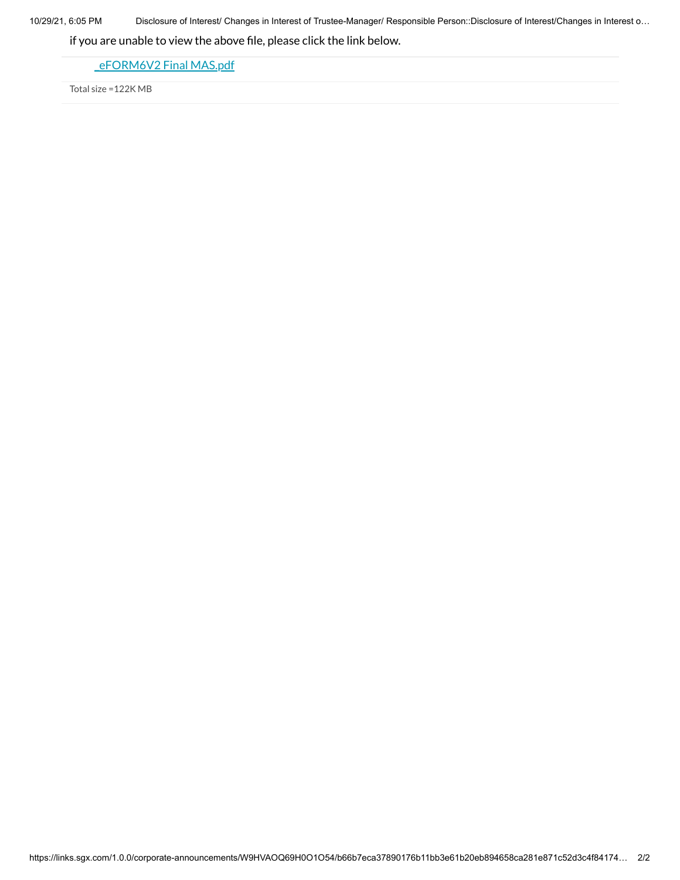10/29/21, 6:05 PM Disclosure of Interest/ Changes in Interest of Trustee-Manager/ Responsible Person::Disclosure of Interest/Changes in Interest o…

if you are unable to view the above file, please click the link below.

eFORM6V2 Final MAS.pdf

Total size =122K MB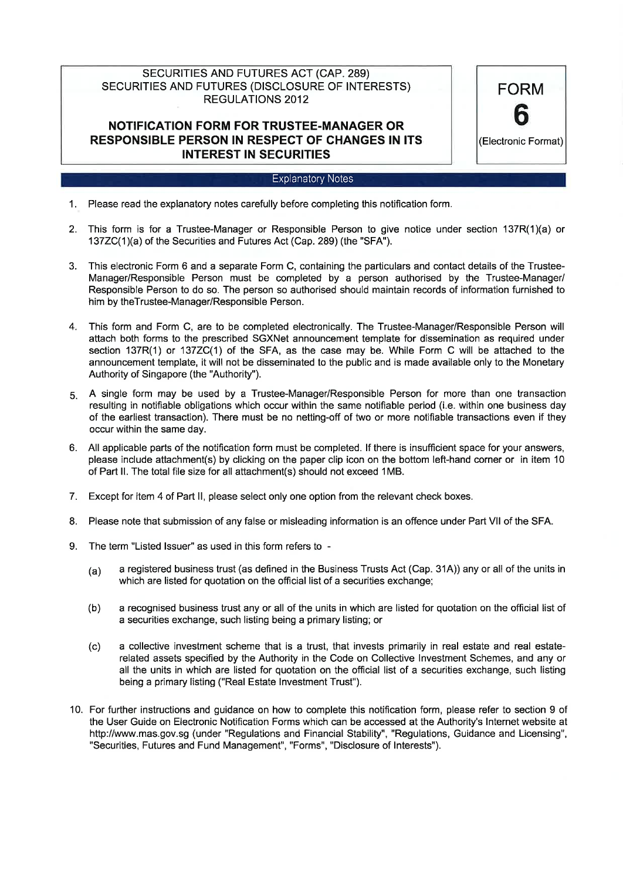# SECURITIES AND FUTURES ACT (CAP. 289) SECURITIES AND FUTURES (DISCLOSURE OF INTERESTS) **REGULATIONS 2012**

# **NOTIFICATION FORM FOR TRUSTEE-MANAGER OR RESPONSIBLE PERSON IN RESPECT OF CHANGES IN ITS INTEREST IN SECURITIES**

### **Explanatory Notes**

**FORM** 

h

(Electronic Format)

- 1. Please read the explanatory notes carefully before completing this notification form.
- 2. This form is for a Trustee-Manager or Responsible Person to give notice under section 137R(1)(a) or 137ZC(1)(a) of the Securities and Futures Act (Cap. 289) (the "SFA").
- 3. This electronic Form 6 and a separate Form C, containing the particulars and contact details of the Trustee-Manager/Responsible Person must be completed by a person authorised by the Trustee-Manager/ Responsible Person to do so. The person so authorised should maintain records of information furnished to him by theTrustee-Manager/Responsible Person.
- $\overline{4}$ . This form and Form C, are to be completed electronically. The Trustee-Manager/Responsible Person will attach both forms to the prescribed SGXNet announcement template for dissemination as required under section 137R(1) or 137ZC(1) of the SFA, as the case may be. While Form C will be attached to the announcement template, it will not be disseminated to the public and is made available only to the Monetary Authority of Singapore (the "Authority").
- 5. A single form may be used by a Trustee-Manager/Responsible Person for more than one transaction resulting in notifiable obligations which occur within the same notifiable period (i.e. within one business day of the earliest transaction). There must be no netting-off of two or more notifiable transactions even if they occur within the same day.
- 6. All applicable parts of the notification form must be completed. If there is insufficient space for your answers, please include attachment(s) by clicking on the paper clip icon on the bottom left-hand corner or in item 10 of Part II. The total file size for all attachment(s) should not exceed 1MB.
- 7. Except for item 4 of Part II, please select only one option from the relevant check boxes.
- 8. Please note that submission of any false or misleading information is an offence under Part VII of the SFA.
- 9 The term "Listed Issuer" as used in this form refers to
	- a registered business trust (as defined in the Business Trusts Act (Cap. 31A)) any or all of the units in  $(a)$ which are listed for quotation on the official list of a securities exchange;
	- $(b)$ a recognised business trust any or all of the units in which are listed for quotation on the official list of a securities exchange, such listing being a primary listing; or
	- a collective investment scheme that is a trust, that invests primarily in real estate and real estate- $(c)$ related assets specified by the Authority in the Code on Collective Investment Schemes, and any or all the units in which are listed for quotation on the official list of a securities exchange, such listing being a primary listing ("Real Estate Investment Trust").
- 10. For further instructions and guidance on how to complete this notification form, please refer to section 9 of the User Guide on Electronic Notification Forms which can be accessed at the Authority's Internet website at http://www.mas.gov.sg (under "Regulations and Financial Stability", "Regulations, Guidance and Licensing", "Securities, Futures and Fund Management", "Forms", "Disclosure of Interests").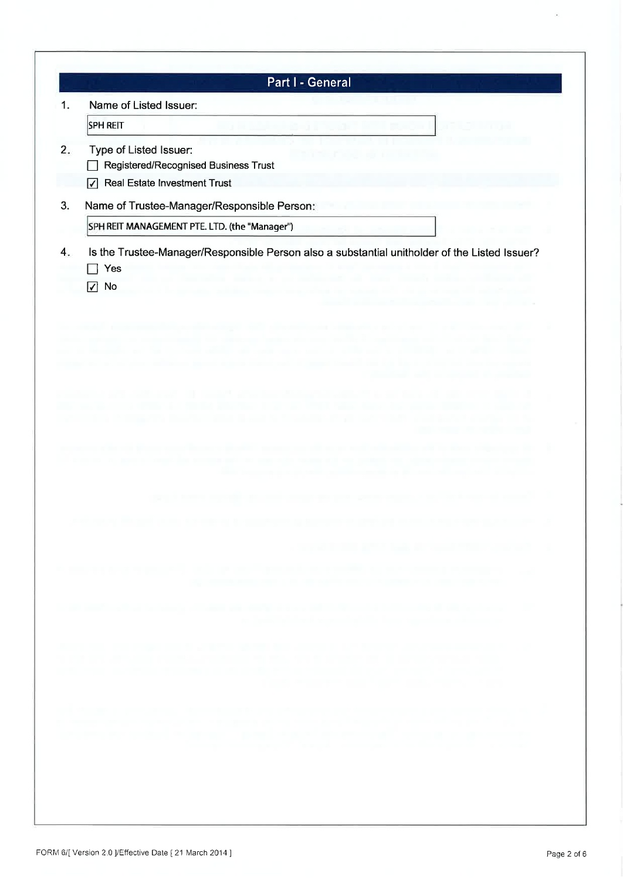|    | Part I - General                                                                                       |
|----|--------------------------------------------------------------------------------------------------------|
| 1. | Name of Listed Issuer:                                                                                 |
|    | <b>SPH REIT</b>                                                                                        |
| 2. | Type of Listed Issuer:<br>Registered/Recognised Business Trust                                         |
|    | Real Estate Investment Trust<br>$\overline{v}$                                                         |
| 3. | Name of Trustee-Manager/Responsible Person:                                                            |
|    | SPH REIT MANAGEMENT PTE. LTD. (the "Manager")                                                          |
| 4. | Is the Trustee-Manager/Responsible Person also a substantial unitholder of the Listed Issuer?<br>Yes   |
|    | $\sqrt{ }$ No                                                                                          |
|    |                                                                                                        |
|    |                                                                                                        |
|    |                                                                                                        |
|    |                                                                                                        |
|    |                                                                                                        |
|    |                                                                                                        |
|    |                                                                                                        |
|    |                                                                                                        |
|    |                                                                                                        |
|    |                                                                                                        |
|    |                                                                                                        |
|    |                                                                                                        |
|    |                                                                                                        |
|    |                                                                                                        |
|    | the party of the large of the first party of the second control                                        |
|    |                                                                                                        |
|    | The company of the property of the company of the company of the form of the company of the company of |
|    |                                                                                                        |
|    | and the property of the party of the first party of the property of the property of the property of    |
|    | the compact high companies to provide a set                                                            |
|    |                                                                                                        |
|    |                                                                                                        |

 $\overline{\mathbf{a}}$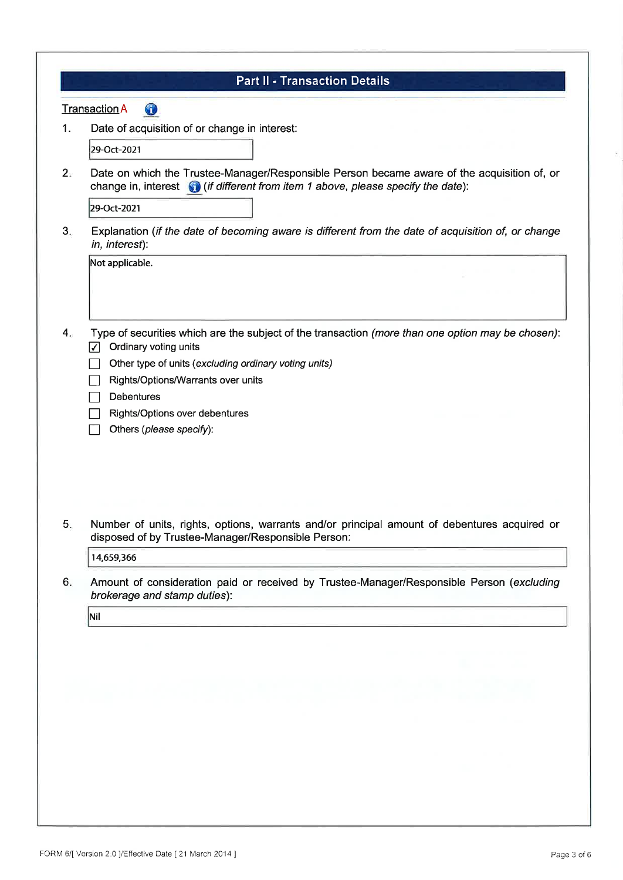| $\bigcirc$<br><b>Transaction A</b><br>Date of acquisition of or change in interest:<br>29-Oct-2021<br>change in, interest $\bigcirc$ (if different from item 1 above, please specify the date):<br>29-Oct-2021<br>in, interest):<br>Not applicable.<br>Ordinary voting units<br>✓<br>Other type of units (excluding ordinary voting units)<br>Rights/Options/Warrants over units<br><b>Debentures</b><br>Rights/Options over debentures<br>Others (please specify):<br>disposed of by Trustee-Manager/Responsible Person:<br>14,659,366<br>brokerage and stamp duties):<br>Nil | <b>Part II - Transaction Details</b>                                                               |
|--------------------------------------------------------------------------------------------------------------------------------------------------------------------------------------------------------------------------------------------------------------------------------------------------------------------------------------------------------------------------------------------------------------------------------------------------------------------------------------------------------------------------------------------------------------------------------|----------------------------------------------------------------------------------------------------|
|                                                                                                                                                                                                                                                                                                                                                                                                                                                                                                                                                                                |                                                                                                    |
|                                                                                                                                                                                                                                                                                                                                                                                                                                                                                                                                                                                |                                                                                                    |
|                                                                                                                                                                                                                                                                                                                                                                                                                                                                                                                                                                                |                                                                                                    |
|                                                                                                                                                                                                                                                                                                                                                                                                                                                                                                                                                                                | Date on which the Trustee-Manager/Responsible Person became aware of the acquisition of, or        |
|                                                                                                                                                                                                                                                                                                                                                                                                                                                                                                                                                                                |                                                                                                    |
|                                                                                                                                                                                                                                                                                                                                                                                                                                                                                                                                                                                | Explanation (if the date of becoming aware is different from the date of acquisition of, or change |
|                                                                                                                                                                                                                                                                                                                                                                                                                                                                                                                                                                                |                                                                                                    |
|                                                                                                                                                                                                                                                                                                                                                                                                                                                                                                                                                                                |                                                                                                    |
|                                                                                                                                                                                                                                                                                                                                                                                                                                                                                                                                                                                |                                                                                                    |
|                                                                                                                                                                                                                                                                                                                                                                                                                                                                                                                                                                                |                                                                                                    |
|                                                                                                                                                                                                                                                                                                                                                                                                                                                                                                                                                                                | Type of securities which are the subject of the transaction (more than one option may be chosen):  |
|                                                                                                                                                                                                                                                                                                                                                                                                                                                                                                                                                                                |                                                                                                    |
|                                                                                                                                                                                                                                                                                                                                                                                                                                                                                                                                                                                |                                                                                                    |
|                                                                                                                                                                                                                                                                                                                                                                                                                                                                                                                                                                                |                                                                                                    |
|                                                                                                                                                                                                                                                                                                                                                                                                                                                                                                                                                                                |                                                                                                    |
|                                                                                                                                                                                                                                                                                                                                                                                                                                                                                                                                                                                |                                                                                                    |
|                                                                                                                                                                                                                                                                                                                                                                                                                                                                                                                                                                                |                                                                                                    |
|                                                                                                                                                                                                                                                                                                                                                                                                                                                                                                                                                                                | Number of units, rights, options, warrants and/or principal amount of debentures acquired or       |
|                                                                                                                                                                                                                                                                                                                                                                                                                                                                                                                                                                                |                                                                                                    |
|                                                                                                                                                                                                                                                                                                                                                                                                                                                                                                                                                                                |                                                                                                    |
|                                                                                                                                                                                                                                                                                                                                                                                                                                                                                                                                                                                | Amount of consideration paid or received by Trustee-Manager/Responsible Person (excluding          |
|                                                                                                                                                                                                                                                                                                                                                                                                                                                                                                                                                                                |                                                                                                    |
|                                                                                                                                                                                                                                                                                                                                                                                                                                                                                                                                                                                |                                                                                                    |
|                                                                                                                                                                                                                                                                                                                                                                                                                                                                                                                                                                                |                                                                                                    |
|                                                                                                                                                                                                                                                                                                                                                                                                                                                                                                                                                                                |                                                                                                    |
|                                                                                                                                                                                                                                                                                                                                                                                                                                                                                                                                                                                |                                                                                                    |
|                                                                                                                                                                                                                                                                                                                                                                                                                                                                                                                                                                                |                                                                                                    |
|                                                                                                                                                                                                                                                                                                                                                                                                                                                                                                                                                                                |                                                                                                    |
|                                                                                                                                                                                                                                                                                                                                                                                                                                                                                                                                                                                |                                                                                                    |
|                                                                                                                                                                                                                                                                                                                                                                                                                                                                                                                                                                                |                                                                                                    |
|                                                                                                                                                                                                                                                                                                                                                                                                                                                                                                                                                                                |                                                                                                    |

 $\overline{\mathcal{P}}_i$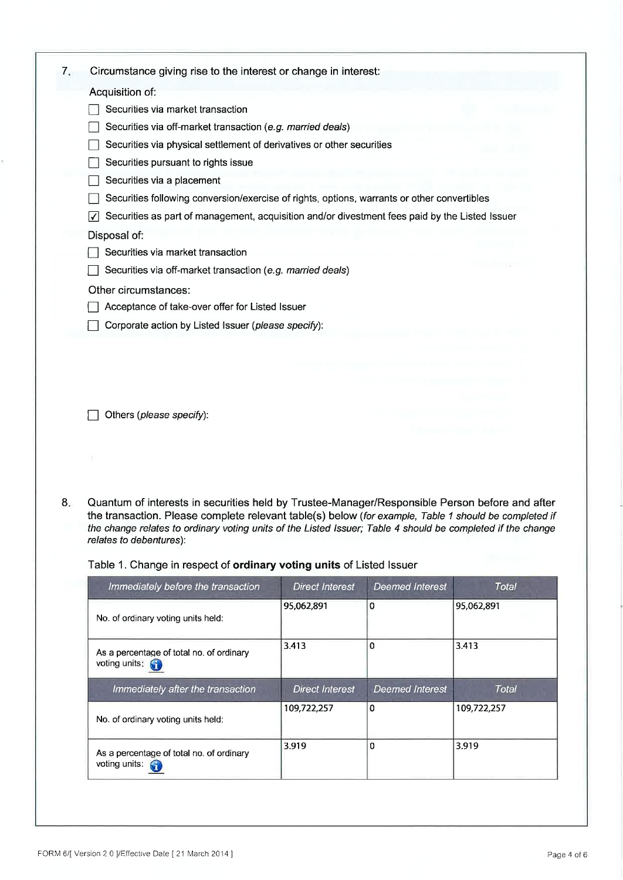| 7. | Circumstance giving rise to the interest or change in interest:                                                                                                                                                                                                                                                                                   |
|----|---------------------------------------------------------------------------------------------------------------------------------------------------------------------------------------------------------------------------------------------------------------------------------------------------------------------------------------------------|
|    | Acquisition of:                                                                                                                                                                                                                                                                                                                                   |
|    | Securities via market transaction                                                                                                                                                                                                                                                                                                                 |
|    | Securities via off-market transaction (e.g. married deals)                                                                                                                                                                                                                                                                                        |
|    | Securities via physical settlement of derivatives or other securities                                                                                                                                                                                                                                                                             |
|    | Securities pursuant to rights issue                                                                                                                                                                                                                                                                                                               |
|    | Securities via a placement                                                                                                                                                                                                                                                                                                                        |
|    | Securities following conversion/exercise of rights, options, warrants or other convertibles                                                                                                                                                                                                                                                       |
|    | Securities as part of management, acquisition and/or divestment fees paid by the Listed Issuer                                                                                                                                                                                                                                                    |
|    | Disposal of:                                                                                                                                                                                                                                                                                                                                      |
|    | Securities via market transaction                                                                                                                                                                                                                                                                                                                 |
|    | Securities via off-market transaction (e.g. married deals)                                                                                                                                                                                                                                                                                        |
|    | Other circumstances:                                                                                                                                                                                                                                                                                                                              |
|    | Acceptance of take-over offer for Listed Issuer                                                                                                                                                                                                                                                                                                   |
|    | Corporate action by Listed Issuer (please specify):                                                                                                                                                                                                                                                                                               |
|    | Others (please specify):                                                                                                                                                                                                                                                                                                                          |
| 8. | Quantum of interests in securities held by Trustee-Manager/Responsible Person before and after<br>the transaction. Please complete relevant table(s) below (for example, Table 1 should be completed if<br>the change relates to ordinary voting units of the Listed Issuer; Table 4 should be completed if the change<br>relates to debentures): |
|    | Table 1. Change in respect of ordinary voting units of Listed Issuer                                                                                                                                                                                                                                                                              |

| Immediately before the transaction                                 | <b>Direct Interest</b> | <b>Deemed Interest</b> | Total        |
|--------------------------------------------------------------------|------------------------|------------------------|--------------|
| No. of ordinary voting units held:                                 | 95,062,891             | 0                      | 95,062,891   |
| As a percentage of total no. of ordinary<br>voting units:          | 3.413                  | 0                      | 3.413        |
| Immediately after the transaction                                  | <b>Direct Interest</b> | <b>Deemed Interest</b> | <b>Total</b> |
| No. of ordinary voting units held:                                 | 109,722,257            | $\bf{0}$               | 109,722,257  |
| As a percentage of total no. of ordinary<br>voting units: <b>C</b> | 3.919                  | 0                      | 3.919        |

ÿ.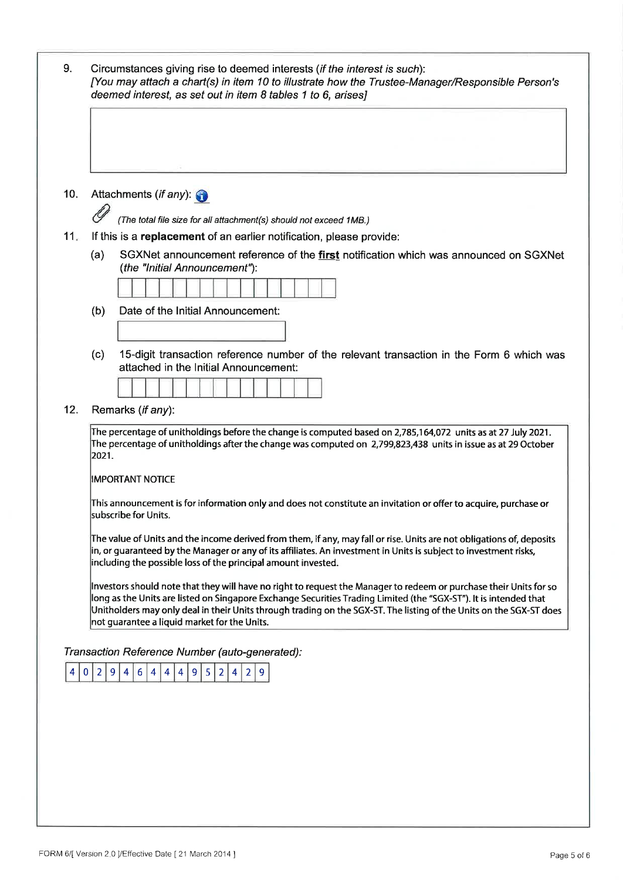| 9.  | Circumstances giving rise to deemed interests (if the interest is such):<br>[You may attach a chart(s) in item 10 to illustrate how the Trustee-Manager/Responsible Person's<br>deemed interest, as set out in item 8 tables 1 to 6, arises]                                                                                                                                                                   |
|-----|----------------------------------------------------------------------------------------------------------------------------------------------------------------------------------------------------------------------------------------------------------------------------------------------------------------------------------------------------------------------------------------------------------------|
|     |                                                                                                                                                                                                                                                                                                                                                                                                                |
| 10. | Attachments (if any)<br>(The total file size for all attachment(s) should not exceed 1MB.)                                                                                                                                                                                                                                                                                                                     |
| 11. | If this is a replacement of an earlier notification, please provide:                                                                                                                                                                                                                                                                                                                                           |
|     | SGXNet announcement reference of the first notification which was announced on SGXNet<br>(a)<br>(the "Initial Announcement"):                                                                                                                                                                                                                                                                                  |
|     |                                                                                                                                                                                                                                                                                                                                                                                                                |
|     | Date of the Initial Announcement:<br>(b)                                                                                                                                                                                                                                                                                                                                                                       |
|     |                                                                                                                                                                                                                                                                                                                                                                                                                |
|     | 15-digit transaction reference number of the relevant transaction in the Form 6 which was<br>(c)<br>attached in the Initial Announcement:                                                                                                                                                                                                                                                                      |
| 12. | Remarks (if any):                                                                                                                                                                                                                                                                                                                                                                                              |
|     | The percentage of unitholdings before the change is computed based on 2,785,164,072 units as at 27 July 2021.<br>The percentage of unitholdings after the change was computed on 2,799,823,438 units in issue as at 29 October<br>2021.                                                                                                                                                                        |
|     | <b>IMPORTANT NOTICE</b>                                                                                                                                                                                                                                                                                                                                                                                        |
|     | This announcement is for information only and does not constitute an invitation or offer to acquire, purchase or<br>lsubscribe for Units.                                                                                                                                                                                                                                                                      |
|     | The value of Units and the income derived from them, if any, may fall or rise. Units are not obligations of, deposits<br>in, or guaranteed by the Manager or any of its affiliates. An investment in Units is subject to investment risks,<br>including the possible loss of the principal amount invested.                                                                                                    |
|     | Investors should note that they will have no right to request the Manager to redeem or purchase their Units for so<br>long as the Units are listed on Singapore Exchange Securities Trading Limited (the "SGX-ST"). It is intended that<br>Unitholders may only deal in their Units through trading on the SGX-ST. The listing of the Units on the SGX-ST does<br>not guarantee a liquid market for the Units. |
| 4   | Transaction Reference Number (auto-generated):<br>4 <br>9<br>5 2 <br> 0 <br>9<br>6 <sup>1</sup><br>4 <br>2 <br>$\vert$ 2<br>$\overline{4}$<br>$\vert$ 4<br>$\vert 4 \vert$<br>$\overline{9}$                                                                                                                                                                                                                   |
|     |                                                                                                                                                                                                                                                                                                                                                                                                                |
|     |                                                                                                                                                                                                                                                                                                                                                                                                                |
|     |                                                                                                                                                                                                                                                                                                                                                                                                                |